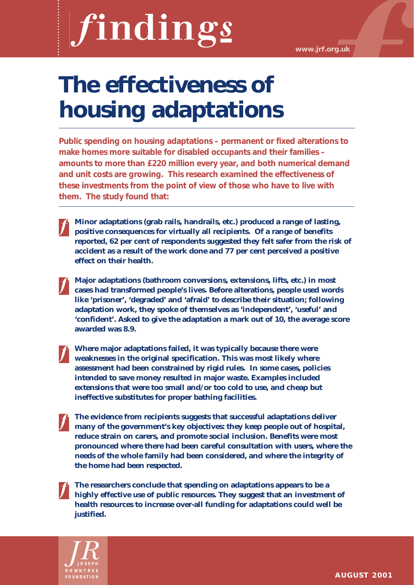# findings

# **The effectiveness of housing adaptations**

**Public spending on housing adaptations – permanent or fixed alterations to make homes more suitable for disabled occupants and their families – amounts to more than £220 million every year, and both numerical demand and unit costs are growing. This research examined the effectiveness of these investments from the point of view of those who have to live with them. The study found that:**

**Minor adaptations (grab rails, handrails, etc.) produced a range of lasting, positive consequences for virtually all recipients. Of a range of benefits reported, 62 per cent of respondents suggested they felt safer from the risk of accident as a result of the work done and 77 per cent perceived a positive effect on their health.**

**Major adaptations (bathroom conversions, extensions, lifts, etc.) in most cases had transformed people's lives. Before alterations, people used words like 'prisoner', 'degraded' and 'afraid' to describe their situation; following adaptation work, they spoke of themselves as 'independent', 'useful' and 'confident'. Asked to give the adaptation a mark out of 10, the average score awarded was 8.9.**

**Where major adaptations failed, it was typically because there were weaknesses in the original specification. This was most likely where assessment had been constrained by rigid rules. In some cases, policies intended to save money resulted in major waste. Examples included extensions that were too small and/or too cold to use, and cheap but ineffective substitutes for proper bathing facilities.**

**The evidence from recipients suggests that successful adaptations deliver many of the government's key objectives: they keep people out of hospital, reduce strain on carers, and promote social inclusion. Benefits were most pronounced where there had been careful consultation with users, where the needs of the whole family had been considered, and where the integrity of the home had been respected.**

**The researchers conclude that spending on adaptations appears to be a highly effective use of public resources. They suggest that an investment of health resources to increase over-all funding for adaptations could well be justified.** 

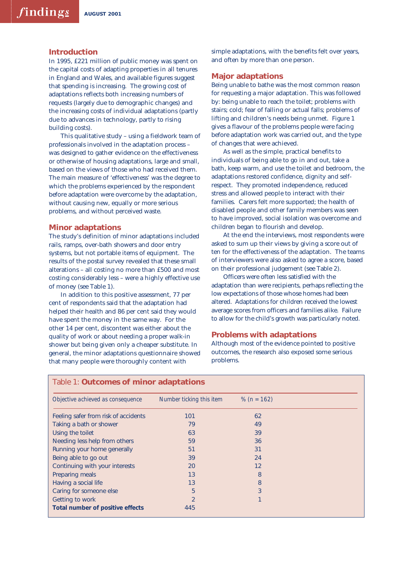### **Introduction**

In 1995, £221 million of public money was spent on the capital costs of adapting properties in all tenures in England and Wales, and available figures suggest that spending is increasing. The growing cost of adaptations reflects both increasing numbers of requests (largely due to demographic changes) and the increasing costs of individual adaptations (partly due to advances in technology, partly to rising building costs).

This qualitative study – using a fieldwork team of professionals involved in the adaptation process – was designed to gather evidence on the effectiveness or otherwise of housing adaptations, large and small, based on the views of those who had received them. The main measure of 'effectiveness' was the degree to which the problems experienced by the respondent before adaptation were overcome by the adaptation, without causing new, equally or more serious problems, and without perceived waste.

# **Minor adaptations**

The study's definition of minor adaptations included rails, ramps, over-bath showers and door entry systems, but not portable items of equipment. The results of the postal survey revealed that these small alterations – all costing no more than £500 and most costing considerably less – were a highly effective use of money (see Table 1).

In addition to this positive assessment, 77 per cent of respondents said that the adaptation had helped their health and 86 per cent said they would have spent the money in the same way. For the other 14 per cent, discontent was either about the quality of work or about needing a proper walk-in shower but being given only a cheaper substitute. In general, the minor adaptations questionnaire showed that many people were thoroughly content with

simple adaptations, with the benefits felt over years, and often by more than one person.

### **Major adaptations**

Being unable to bathe was the most common reason for requesting a major adaptation. This was followed by: being unable to reach the toilet; problems with stairs; cold; fear of falling or actual falls; problems of lifting and children's needs being unmet. Figure 1 gives a flavour of the problems people were facing before adaptation work was carried out, and the type of changes that were achieved.

As well as the simple, practical benefits to individuals of being able to go in and out, take a bath, keep warm, and use the toilet and bedroom, the adaptations restored confidence, dignity and selfrespect. They promoted independence, reduced stress and allowed people to interact with their families. Carers felt more supported; the health of disabled people and other family members was seen to have improved, social isolation was overcome and children began to flourish and develop.

At the end the interviews, most respondents were asked to sum up their views by giving a score out of ten for the effectiveness of the adaptation. The teams of interviewers were also asked to agree a score, based on their professional judgement (see Table 2).

Officers were often less satisfied with the adaptation than were recipients, perhaps reflecting the low expectations of those whose homes had been altered. Adaptations for children received the lowest average scores from officers and families alike. Failure to allow for the child's growth was particularly noted.

## **Problems with adaptations**

Although most of the evidence pointed to positive outcomes, the research also exposed some serious problems.

| Objective achieved as consequence    | Number ticking this item | % ( $n = 162$ ) |
|--------------------------------------|--------------------------|-----------------|
| Feeling safer from risk of accidents | 101                      | 62              |
| Taking a bath or shower              | 79                       | 49              |
| Using the toilet                     | 63                       | 39              |
| Needing less help from others        | 59                       | 36              |
| Running your home generally          | 51                       | 31              |
| Being able to go out                 | 39                       | 24              |
| Continuing with your interests       | 20                       | 12              |
| Preparing meals                      | 13                       | 8               |
| Having a social life                 | 13                       | 8               |
| Caring for someone else              | 5                        | 3               |
| Getting to work                      | $\overline{2}$           |                 |
| Total number of positive effects     | 445                      |                 |

# Table 1: **Outcomes of minor adaptations**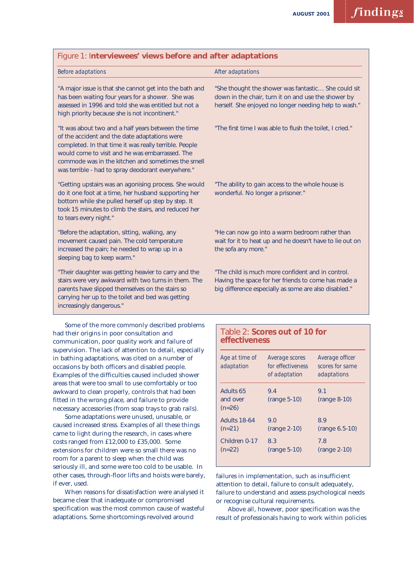| "She thought the shower was fantastic She could sit<br>down in the chair, turn it on and use the shower by<br>herself. She enjoyed no longer needing help to wash." |
|---------------------------------------------------------------------------------------------------------------------------------------------------------------------|
| "The first time I was able to flush the toilet, I cried."                                                                                                           |
| "The ability to gain access to the whole house is<br>wonderful. No longer a prisoner."                                                                              |
| "He can now go into a warm bedroom rather than<br>wait for it to heat up and he doesn't have to lie out on<br>the sofa any more."                                   |
| "The child is much more confident and in control.<br>Having the space for her friends to come has made a<br>big difference especially as some are also disabled."   |
|                                                                                                                                                                     |

had their origins in poor consultation and communication, poor quality work and failure of supervision. The lack of attention to detail, especially in bathing adaptations, was cited on a number of occasions by both officers and disabled people. Examples of the difficulties caused included shower areas that were too small to use comfortably or too awkward to clean properly, controls that had been fitted in the wrong place, and failure to provide necessary accessories (from soap trays to grab rails).

Some adaptations were unused, unusable, or caused increased stress. Examples of all these things came to light during the research, in cases where costs ranged from £12,000 to £35,000. Some extensions for children were so small there was no room for a parent to sleep when the child was seriously ill, and some were too cold to be usable. In other cases, through-floor lifts and hoists were barely, if ever, used.

When reasons for dissatisfaction were analysed it became clear that inadequate or compromised specification was the most common cause of wasteful adaptations. Some shortcomings revolved around

# Table 2: **Scores out of 10 for effectiveness**

| Age at time of<br>adaptation      | Average scores<br>for effectiveness<br>of adaptation | Average officer<br>scores for same<br>adaptations |
|-----------------------------------|------------------------------------------------------|---------------------------------------------------|
| Adults 65<br>and over<br>$(n=26)$ | 9.4<br>$(range 5-10)$                                | 9.1<br>$(range 8-10)$                             |
| <b>Adults 18-64</b><br>$(n=21)$   | 9.0<br>$(range 2-10)$                                | 89<br>$(range 6.5-10)$                            |
| Children 0-17<br>$(n=22)$         | 8.3<br>$(range 5-10)$                                | 7.8<br>(range 2-10)                               |

failures in implementation, such as insufficient attention to detail, failure to consult adequately, failure to understand and assess psychological needs or recognise cultural requirements.

Above all, however, poor specification was the result of professionals having to work within policies